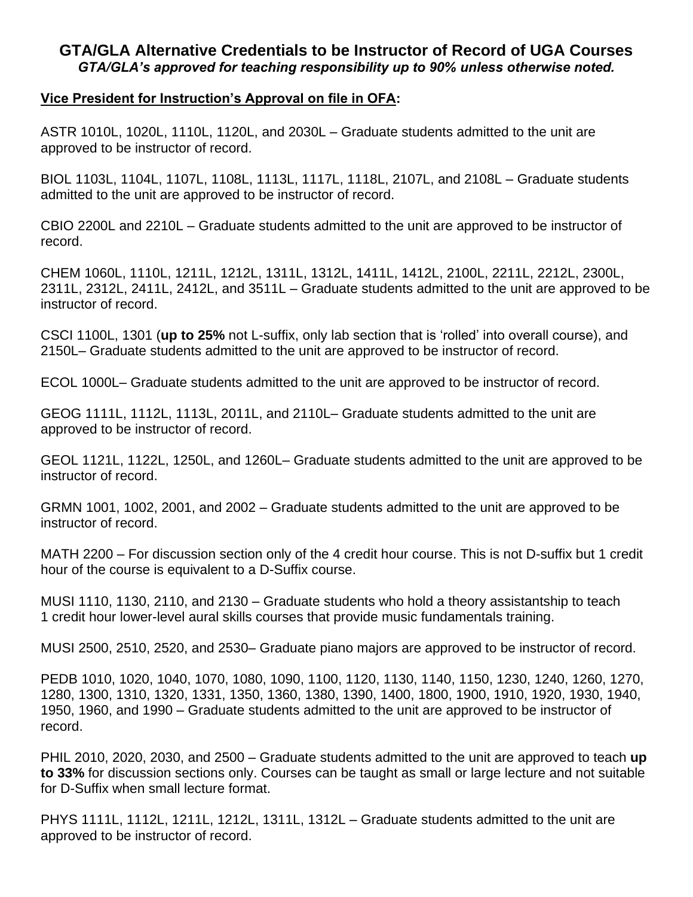## **GTA/GLA Alternative Credentials to be Instructor of Record of UGA Courses** *GTA/GLA's approved for teaching responsibility up to 90% unless otherwise noted.*

## **Vice President for Instruction's Approval on file in OFA:**

ASTR 1010L, 1020L, 1110L, 1120L, and 2030L – Graduate students admitted to the unit are approved to be instructor of record.

BIOL 1103L, 1104L, 1107L, 1108L, 1113L, 1117L, 1118L, 2107L, and 2108L – Graduate students admitted to the unit are approved to be instructor of record.

CBIO 2200L and 2210L – Graduate students admitted to the unit are approved to be instructor of record.

CHEM 1060L, 1110L, 1211L, 1212L, 1311L, 1312L, 1411L, 1412L, 2100L, 2211L, 2212L, 2300L, 2311L, 2312L, 2411L, 2412L, and 3511L – Graduate students admitted to the unit are approved to be instructor of record.

CSCI 1100L, 1301 (**up to 25%** not L-suffix, only lab section that is 'rolled' into overall course), and 2150L– Graduate students admitted to the unit are approved to be instructor of record.

ECOL 1000L– Graduate students admitted to the unit are approved to be instructor of record.

GEOG 1111L, 1112L, 1113L, 2011L, and 2110L– Graduate students admitted to the unit are approved to be instructor of record.

GEOL 1121L, 1122L, 1250L, and 1260L– Graduate students admitted to the unit are approved to be instructor of record.

GRMN 1001, 1002, 2001, and 2002 – Graduate students admitted to the unit are approved to be instructor of record.

MATH 2200 – For discussion section only of the 4 credit hour course. This is not D-suffix but 1 credit hour of the course is equivalent to a D-Suffix course.

MUSI 1110, 1130, 2110, and 2130 – Graduate students who hold a theory assistantship to teach 1 credit hour lower-level aural skills courses that provide music fundamentals training.

MUSI 2500, 2510, 2520, and 2530– Graduate piano majors are approved to be instructor of record.

PEDB 1010, 1020, 1040, 1070, 1080, 1090, 1100, 1120, 1130, 1140, 1150, 1230, 1240, 1260, 1270, 1280, 1300, 1310, 1320, 1331, 1350, 1360, 1380, 1390, 1400, 1800, 1900, 1910, 1920, 1930, 1940, 1950, 1960, and 1990 – Graduate students admitted to the unit are approved to be instructor of record.

PHIL 2010, 2020, 2030, and 2500 – Graduate students admitted to the unit are approved to teach **up to 33%** for discussion sections only. Courses can be taught as small or large lecture and not suitable for D-Suffix when small lecture format.

PHYS 1111L, 1112L, 1211L, 1212L, 1311L, 1312L – Graduate students admitted to the unit are approved to be instructor of record.